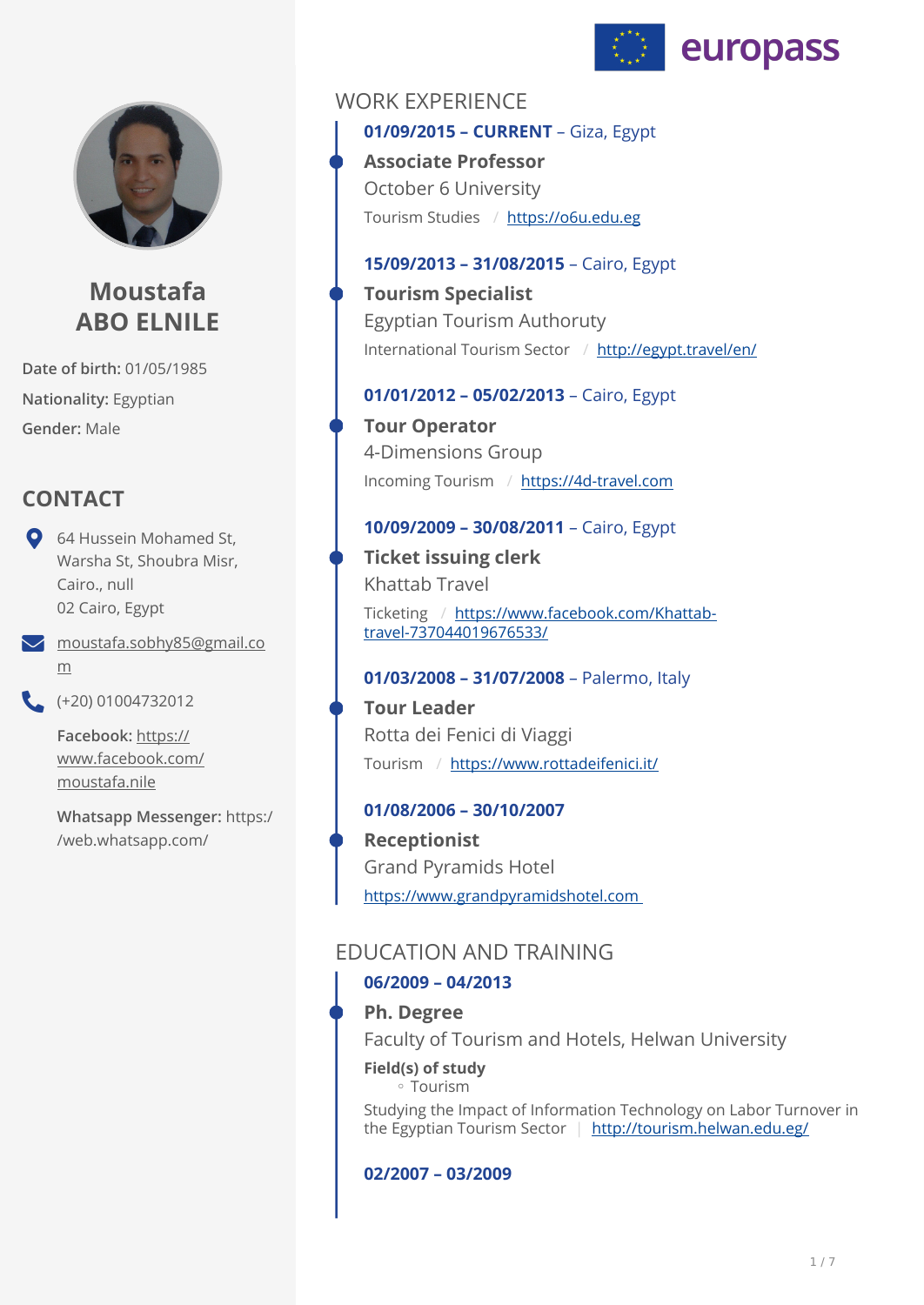



# **Moustafa ABO ELNILE**

**Date of birth:** 01/05/1985 **Nationality:** Egyptian **Gender:** Male

# **CONTACT**

- **Q** 64 Hussein Mohamed St, Warsha St, Shoubra Misr, Cairo., null 02 Cairo, Egypt
- [moustafa.sobhy85@gmail.co](mailto:moustafa.sobhy85@gmail.com) [m](mailto:moustafa.sobhy85@gmail.com)
- $(+20)$  01004732012

**Facebook:** [https://](https://www.facebook.com/moustafa.nile) [www.facebook.com/](https://www.facebook.com/moustafa.nile) [moustafa.nile](https://www.facebook.com/moustafa.nile)

**Whatsapp Messenger:** https:/ /web.whatsapp.com/

## WORK EXPERIENCE

**01/09/2015 – CURRENT** – Giza, Egypt Tourism Studies / <https://o6u.edu.eg> **Associate Professor**  October 6 University

## **15/09/2013 – 31/08/2015** – Cairo, Egypt

International Tourism Sector / <http://egypt.travel/en/> **Tourism Specialist**  Egyptian Tourism Authoruty

## **01/01/2012 – 05/02/2013** – Cairo, Egypt

Incoming Tourism / <https://4d-travel.com> **Tour Operator**  4-Dimensions Group

### **10/09/2009 – 30/08/2011** – Cairo, Egypt

Ticketing / [https://www.facebook.com/Khattab](https://www.facebook.com/Khattab-travel-737044019676533/)[travel-737044019676533/](https://www.facebook.com/Khattab-travel-737044019676533/) **Ticket issuing clerk**  Khattab Travel

## **01/03/2008 – 31/07/2008** – Palermo, Italy

Tourism / <https://www.rottadeifenici.it/> **Tour Leader**  Rotta dei Fenici di Viaggi

## **01/08/2006 – 30/10/2007**

[https://www.grandpyramidshotel.com](https://www.grandpyramidshotel.com%20)  **Receptionist**  Grand Pyramids Hotel

# EDUCATION AND TRAINING

## **06/2009 – 04/2013**

## **Ph. Degree**

Faculty of Tourism and Hotels, Helwan University

## **Field(s) of study**

Tourism ◦

Studying the Impact of Information Technology on Labor Turnover in the Egyptian Tourism Sector | <http://tourism.helwan.edu.eg/>

### **02/2007 – 03/2009**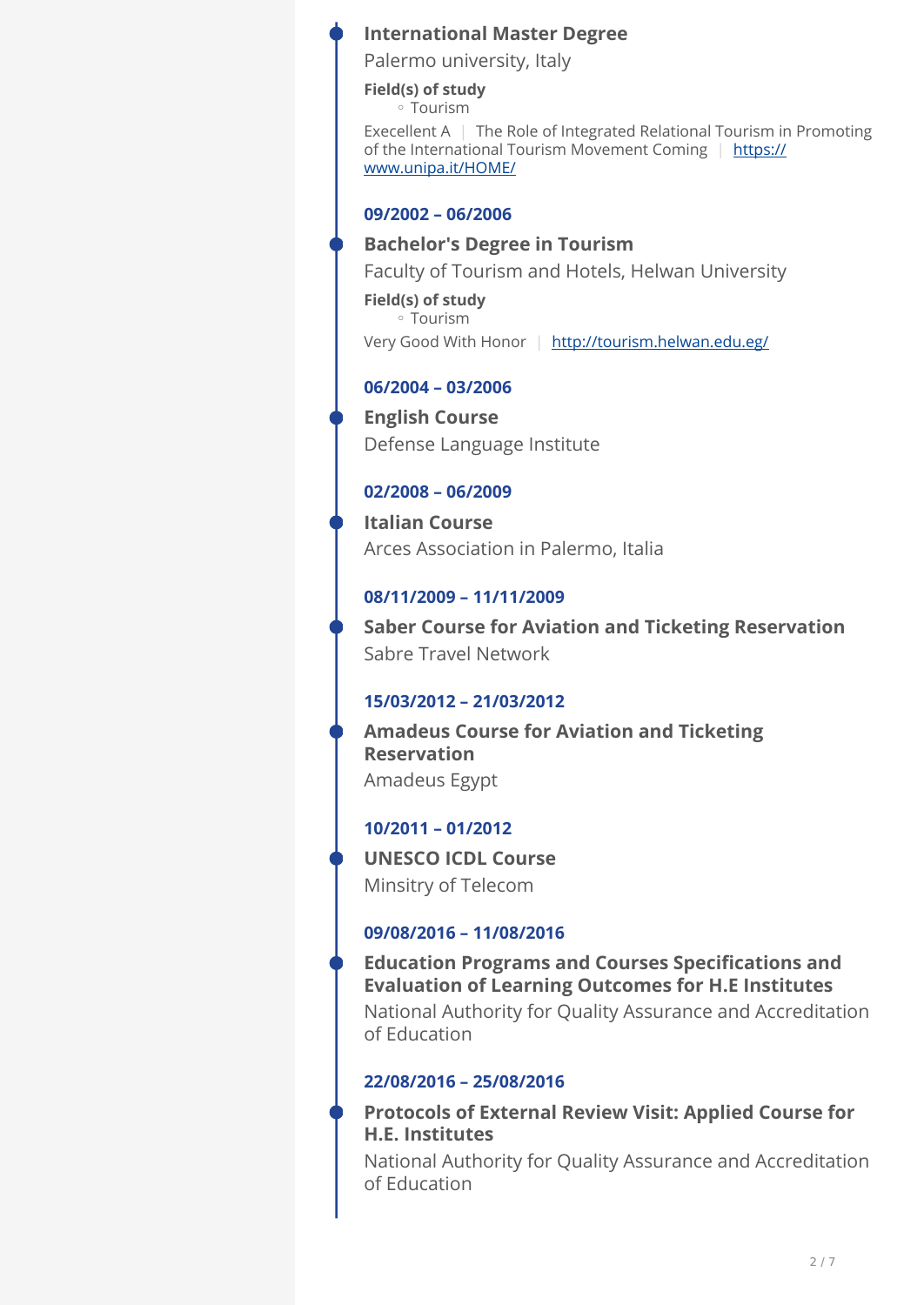## **International Master Degree**

Palermo university, Italy

**Field(s) of study** Tourism ◦

Execellent A | The Role of Integrated Relational Tourism in Promoting of the International Tourism Movement Coming | [https://](https://www.unipa.it/HOME/) [www.unipa.it/HOME/](https://www.unipa.it/HOME/)

### **09/2002 – 06/2006**

### **Bachelor's Degree in Tourism**

Faculty of Tourism and Hotels, Helwan University

**Field(s) of study** Tourism ◦ Very Good With Honor | <http://tourism.helwan.edu.eg/>

## **06/2004 – 03/2006**

**English Course**  Defense Language Institute

### **02/2008 – 06/2009**

**Italian Course**  Arces Association in Palermo, Italia

## **08/11/2009 – 11/11/2009**

**Saber Course for Aviation and Ticketing Reservation**  Sabre Travel Network

## **15/03/2012 – 21/03/2012**

**Amadeus Course for Aviation and Ticketing Reservation**  Amadeus Egypt

## **10/2011 – 01/2012**

**UNESCO ICDL Course**  Minsitry of Telecom

## **09/08/2016 – 11/08/2016**

**Education Programs and Courses Specifications and Evaluation of Learning Outcomes for H.E Institutes**  National Authority for Quality Assurance and Accreditation

of Education

## **22/08/2016 – 25/08/2016**

**Protocols of External Review Visit: Applied Course for H.E. Institutes** 

National Authority for Quality Assurance and Accreditation of Education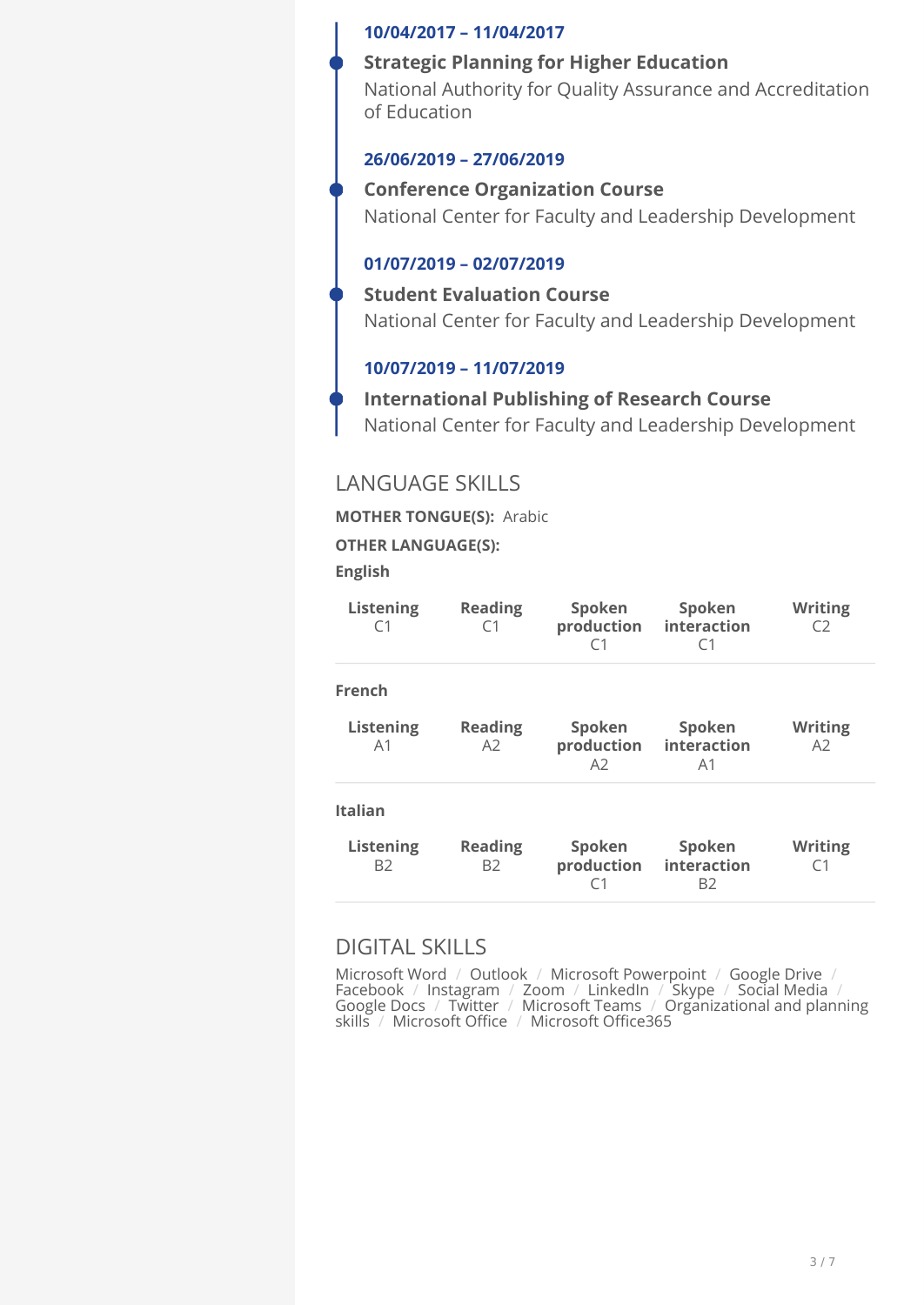#### **10/04/2017 – 11/04/2017**

#### **Strategic Planning for Higher Education**

National Authority for Quality Assurance and Accreditation of Education

#### **26/06/2019 – 27/06/2019**

#### **Conference Organization Course**

National Center for Faculty and Leadership Development

### **01/07/2019 – 02/07/2019**

#### **Student Evaluation Course**

National Center for Faculty and Leadership Development

### **10/07/2019 – 11/07/2019**

## **International Publishing of Research Course**  National Center for Faculty and Leadership Development

## LANGUAGE SKILLS

**MOTHER TONGUE(S):** Arabic

#### **OTHER LANGUAGE(S):**

**English** 

| <b>Reading</b><br>C1        | Spoken<br>production<br>C1             | Spoken<br>interaction<br>C <sub>1</sub> | <b>Writing</b><br>C2 |
|-----------------------------|----------------------------------------|-----------------------------------------|----------------------|
|                             |                                        |                                         |                      |
| <b>Reading</b><br>A2        | Spoken<br>production<br>A <sub>2</sub> | Spoken<br>interaction<br>A <sub>1</sub> | <b>Writing</b><br>A2 |
|                             |                                        |                                         |                      |
| <b>Reading</b><br><b>B2</b> | Spoken<br>production<br>۲1             | Spoken<br>B2                            | <b>Writing</b><br>C1 |
|                             |                                        |                                         | interaction          |

## DIGITAL SKILLS

Microsoft Word / Outlook / Microsoft Powerpoint / Google Drive / Facebook / Instagram / Zoom / LinkedIn / Skype / Social Media / Google Docs / Twitter / Microsoft Teams / Organizational and planning skills / Microsoft Office / Microsoft Office365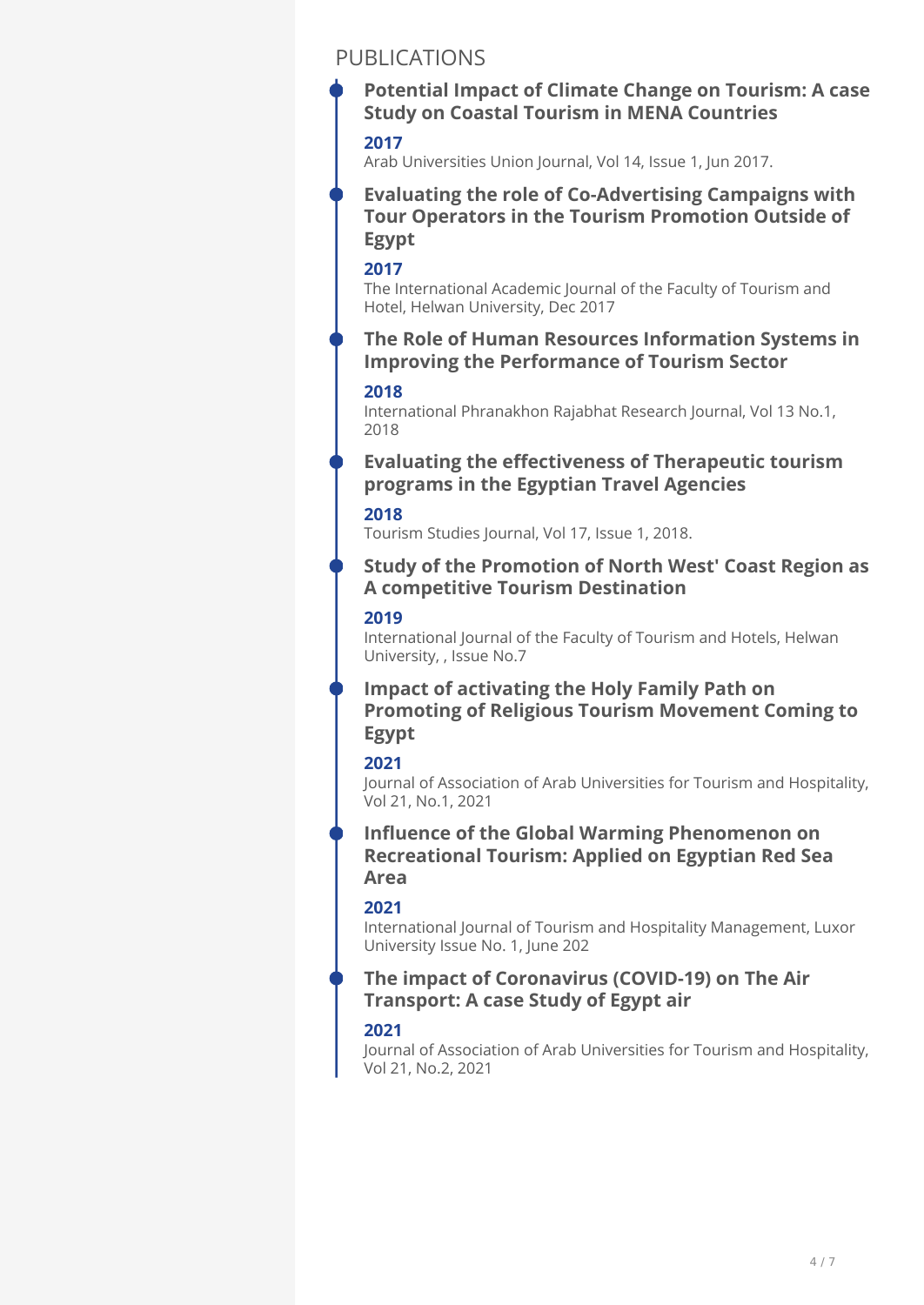## PUBLICATIONS

## **Potential Impact of Climate Change on Tourism: A case Study on Coastal Tourism in MENA Countries**

#### **2017**

Arab Universities Union Journal, Vol 14, Issue 1, Jun 2017.

**Evaluating the role of Co-Advertising Campaigns with Tour Operators in the Tourism Promotion Outside of Egypt** 

#### **2017**

The International Academic Journal of the Faculty of Tourism and Hotel, Helwan University, Dec 2017

### **The Role of Human Resources Information Systems in Improving the Performance of Tourism Sector**

#### **2018**

International Phranakhon Rajabhat Research Journal, Vol 13 No.1, 2018

### **Evaluating the effectiveness of Therapeutic tourism programs in the Egyptian Travel Agencies**

#### **2018**

Tourism Studies Journal, Vol 17, Issue 1, 2018.

### **Study of the Promotion of North West' Coast Region as A competitive Tourism Destination**

#### **2019**

International Journal of the Faculty of Tourism and Hotels, Helwan University, , Issue No.7

## **Impact of activating the Holy Family Path on Promoting of Religious Tourism Movement Coming to Egypt**

#### **2021**

Journal of Association of Arab Universities for Tourism and Hospitality, Vol 21, No.1, 2021

### **Influence of the Global Warming Phenomenon on Recreational Tourism: Applied on Egyptian Red Sea Area**

### **2021**

International Journal of Tourism and Hospitality Management, Luxor University Issue No. 1, June 202

### **The impact of Coronavirus (COVID-19) on The Air Transport: A case Study of Egypt air**

### **2021**

Journal of Association of Arab Universities for Tourism and Hospitality, Vol 21, No.2, 2021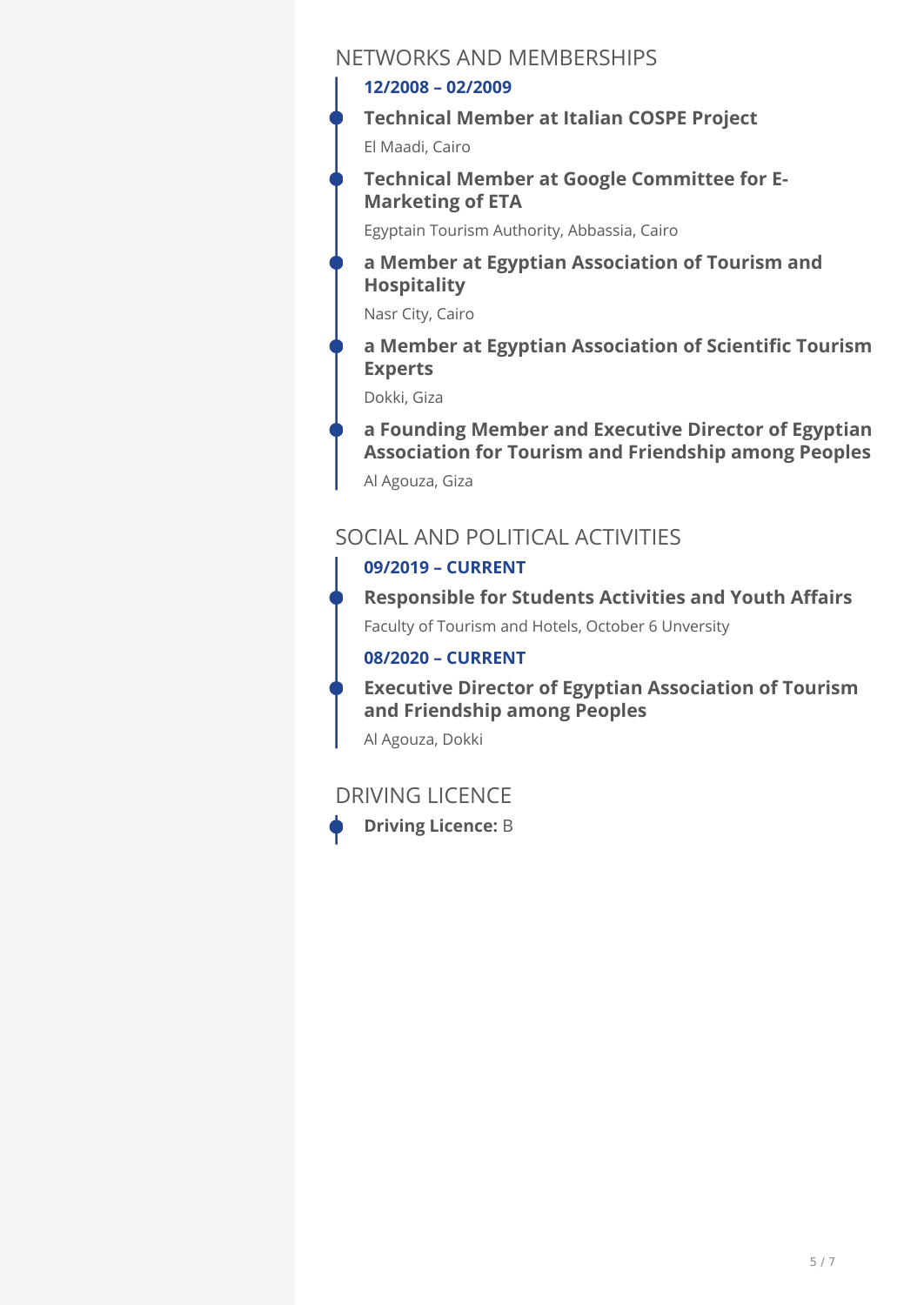## NETWORKS AND MEMBERSHIPS

## **12/2008 – 02/2009**

**Technical Member at Italian COSPE Project** 

El Maadi, Cairo

**Technical Member at Google Committee for E-Marketing of ETA** 

Egyptain Tourism Authority, Abbassia, Cairo

**a Member at Egyptian Association of Tourism and Hospitality** 

Nasr City, Cairo

**a Member at Egyptian Association of Scientific Tourism Experts** 

Dokki, Giza

Al Agouza, Giza **a Founding Member and Executive Director of Egyptian Association for Tourism and Friendship among Peoples**

# SOCIAL AND POLITICAL ACTIVITIES

## **09/2019 – CURRENT**

Faculty of Tourism and Hotels, October 6 Unversity **Responsible for Students Activities and Youth Affairs** 

## **08/2020 – CURRENT**

**Executive Director of Egyptian Association of Tourism and Friendship among Peoples** 

Al Agouza, Dokki

## DRIVING LICENCE



**Driving Licence:** B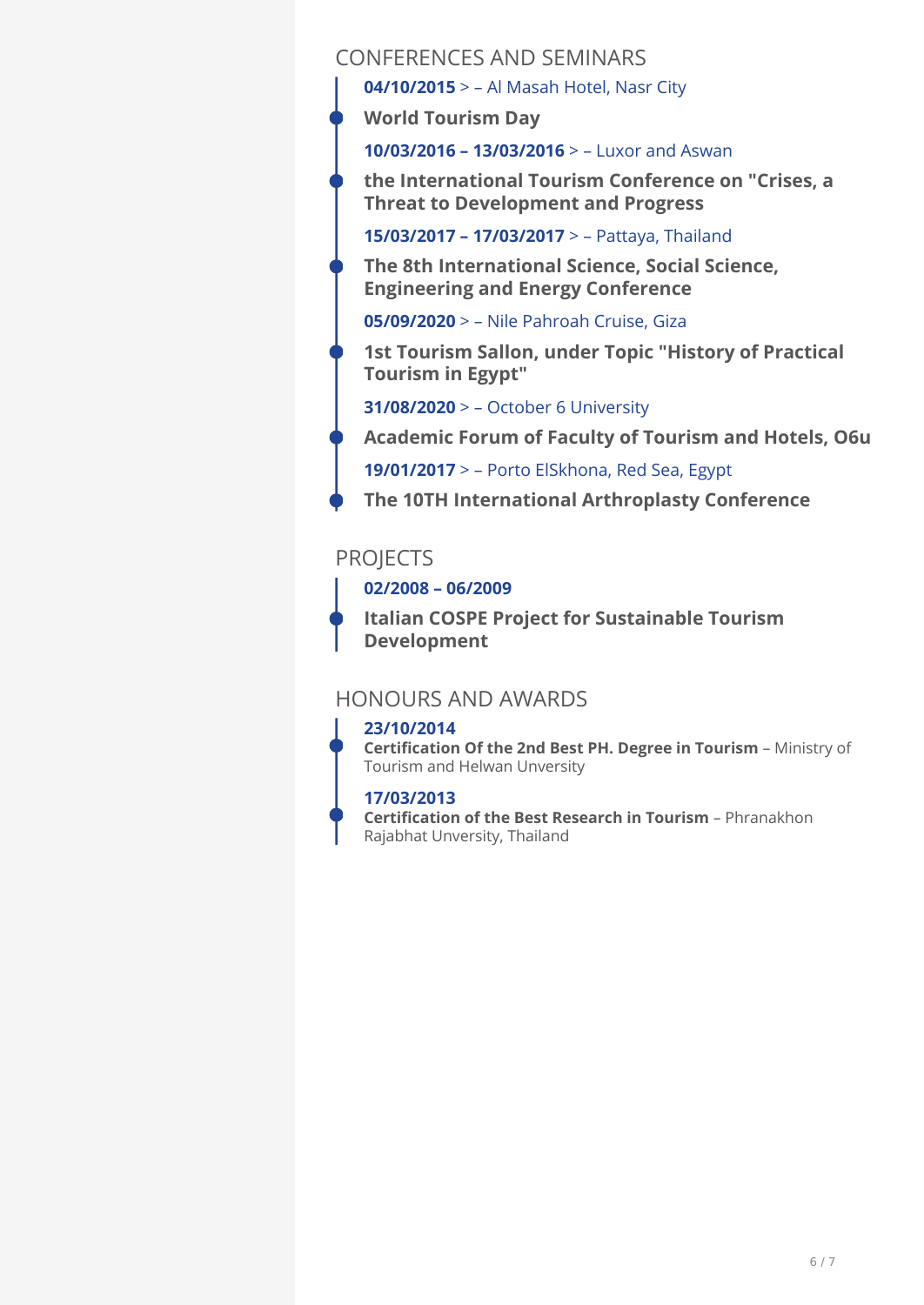## CONFERENCES AND SEMINARS

**04/10/2015** > – Al Masah Hotel, Nasr City

**World Tourism Day** 

**10/03/2016 – 13/03/2016** > – Luxor and Aswan

**the International Tourism Conference on "Crises, a Threat to Development and Progress** 

**15/03/2017 – 17/03/2017** > – Pattaya, Thailand

**The 8th International Science, Social Science, Engineering and Energy Conference** 

**05/09/2020** > – Nile Pahroah Cruise, Giza

**1st Tourism Sallon, under Topic "History of Practical Tourism in Egypt"** 

**31/08/2020** > – October 6 University

**Academic Forum of Faculty of Tourism and Hotels, O6u**

**19/01/2017** > – Porto ElSkhona, Red Sea, Egypt

**The 10TH International Arthroplasty Conference** 

# **PROJECTS**

**02/2008 – 06/2009** 

**Italian COSPE Project for Sustainable Tourism Development**

# HONOURS AND AWARDS

## **23/10/2014**

**Certification Of the 2nd Best PH. Degree in Tourism** - Ministry of Tourism and Helwan Unversity

## **17/03/2013**

**Certification of the Best Research in Tourism** - Phranakhon Rajabhat Unversity, Thailand